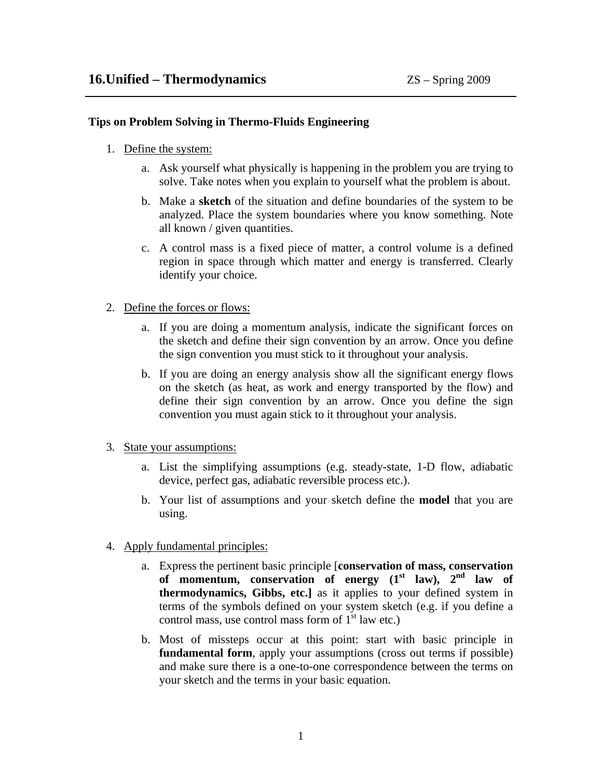## **Tips on Problem Solving in Thermo-Fluids Engineering**

- 1. Define the system:
	- a. Ask yourself what physically is happening in the problem you are trying to solve. Take notes when you explain to yourself what the problem is about.
	- b. Make a **sketch** of the situation and define boundaries of the system to be analyzed. Place the system boundaries where you know something. Note all known / given quantities.
	- c. A control mass is a fixed piece of matter, a control volume is a defined region in space through which matter and energy is transferred. Clearly identify your choice.
- 2. Define the forces or flows:
	- a. If you are doing a momentum analysis, indicate the significant forces on the sketch and define their sign convention by an arrow. Once you define the sign convention you must stick to it throughout your analysis.
	- b. If you are doing an energy analysis show all the significant energy flows on the sketch (as heat, as work and energy transported by the flow) and define their sign convention by an arrow. Once you define the sign convention you must again stick to it throughout your analysis.
- 3. State your assumptions:
	- a. List the simplifying assumptions (e.g. steady-state, 1-D flow, adiabatic device, perfect gas, adiabatic reversible process etc.).
	- b. Your list of assumptions and your sketch define the **model** that you are using.
- 4. Apply fundamental principles:
	- a. Express the pertinent basic principle [**conservation of mass, conservation of momentum, conservation of energy (1st law), 2nd law of thermodynamics, Gibbs, etc.]** as it applies to your defined system in terms of the symbols defined on your system sketch (e.g. if you define a control mass, use control mass form of  $1<sup>st</sup>$  law etc.)
	- b. Most of missteps occur at this point: start with basic principle in **fundamental form**, apply your assumptions (cross out terms if possible) and make sure there is a one-to-one correspondence between the terms on your sketch and the terms in your basic equation.